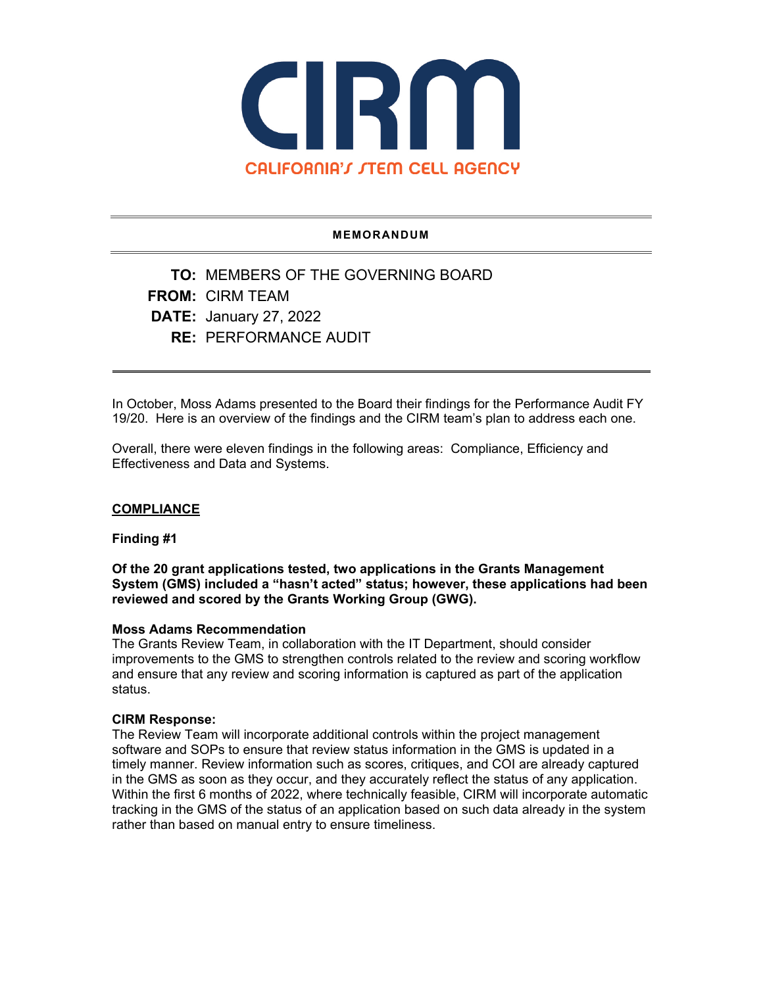

### **MEMORANDUM**

**TO:** MEMBERS OF THE GOVERNING BOARD **FROM:** CIRM TEAM **DATE:** January 27, 2022 **RE:** PERFORMANCE AUDIT

In October, Moss Adams presented to the Board their findings for the Performance Audit FY 19/20. Here is an overview of the findings and the CIRM team's plan to address each one.

Overall, there were eleven findings in the following areas: Compliance, Efficiency and Effectiveness and Data and Systems.

## **COMPLIANCE**

## **Finding #1**

**Of the 20 grant applications tested, two applications in the Grants Management System (GMS) included a "hasn't acted" status; however, these applications had been reviewed and scored by the Grants Working Group (GWG).**

### **Moss Adams Recommendation**

The Grants Review Team, in collaboration with the IT Department, should consider improvements to the GMS to strengthen controls related to the review and scoring workflow and ensure that any review and scoring information is captured as part of the application status.

#### **CIRM Response:**

The Review Team will incorporate additional controls within the project management software and SOPs to ensure that review status information in the GMS is updated in a timely manner. Review information such as scores, critiques, and COI are already captured in the GMS as soon as they occur, and they accurately reflect the status of any application. Within the first 6 months of 2022, where technically feasible, CIRM will incorporate automatic tracking in the GMS of the status of an application based on such data already in the system rather than based on manual entry to ensure timeliness.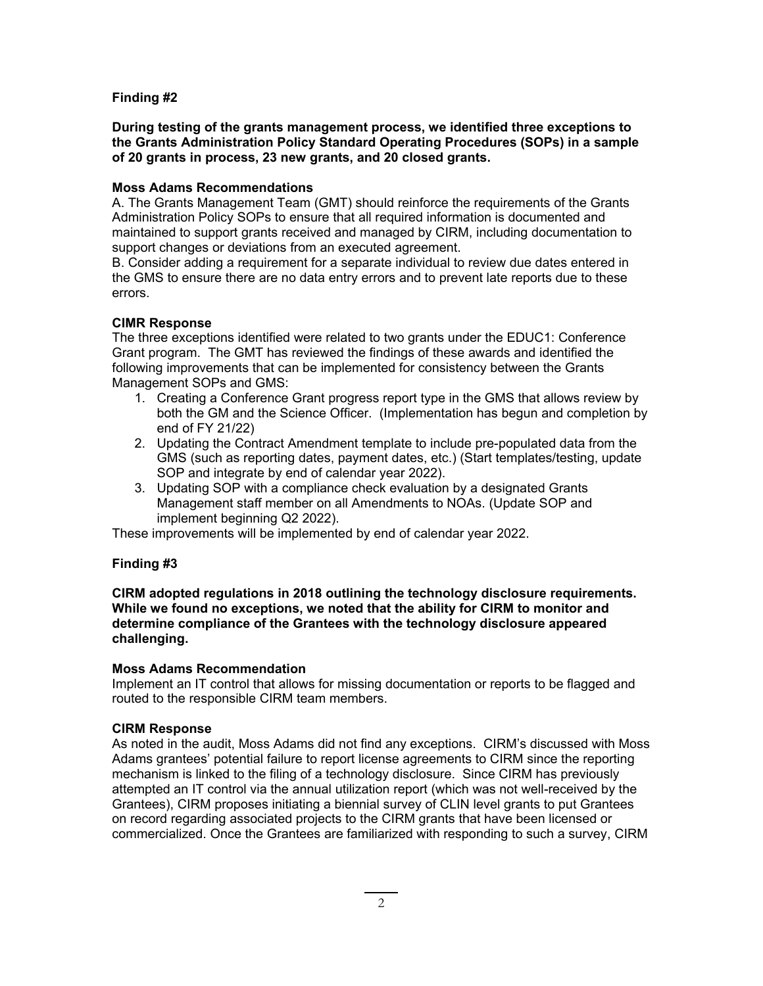## **Finding #2**

**During testing of the grants management process, we identified three exceptions to the Grants Administration Policy Standard Operating Procedures (SOPs) in a sample of 20 grants in process, 23 new grants, and 20 closed grants.**

## **Moss Adams Recommendations**

A. The Grants Management Team (GMT) should reinforce the requirements of the Grants Administration Policy SOPs to ensure that all required information is documented and maintained to support grants received and managed by CIRM, including documentation to support changes or deviations from an executed agreement.

B. Consider adding a requirement for a separate individual to review due dates entered in the GMS to ensure there are no data entry errors and to prevent late reports due to these errors.

# **CIMR Response**

The three exceptions identified were related to two grants under the EDUC1: Conference Grant program. The GMT has reviewed the findings of these awards and identified the following improvements that can be implemented for consistency between the Grants Management SOPs and GMS:

- 1. Creating a Conference Grant progress report type in the GMS that allows review by both the GM and the Science Officer. (Implementation has begun and completion by end of FY 21/22)
- 2. Updating the Contract Amendment template to include pre-populated data from the GMS (such as reporting dates, payment dates, etc.) (Start templates/testing, update SOP and integrate by end of calendar year 2022).
- 3. Updating SOP with a compliance check evaluation by a designated Grants Management staff member on all Amendments to NOAs. (Update SOP and implement beginning Q2 2022).

These improvements will be implemented by end of calendar year 2022.

## **Finding #3**

**CIRM adopted regulations in 2018 outlining the technology disclosure requirements. While we found no exceptions, we noted that the ability for CIRM to monitor and determine compliance of the Grantees with the technology disclosure appeared challenging.**

## **Moss Adams Recommendation**

Implement an IT control that allows for missing documentation or reports to be flagged and routed to the responsible CIRM team members.

## **CIRM Response**

As noted in the audit, Moss Adams did not find any exceptions. CIRM's discussed with Moss Adams grantees' potential failure to report license agreements to CIRM since the reporting mechanism is linked to the filing of a technology disclosure. Since CIRM has previously attempted an IT control via the annual utilization report (which was not well-received by the Grantees), CIRM proposes initiating a biennial survey of CLIN level grants to put Grantees on record regarding associated projects to the CIRM grants that have been licensed or commercialized. Once the Grantees are familiarized with responding to such a survey, CIRM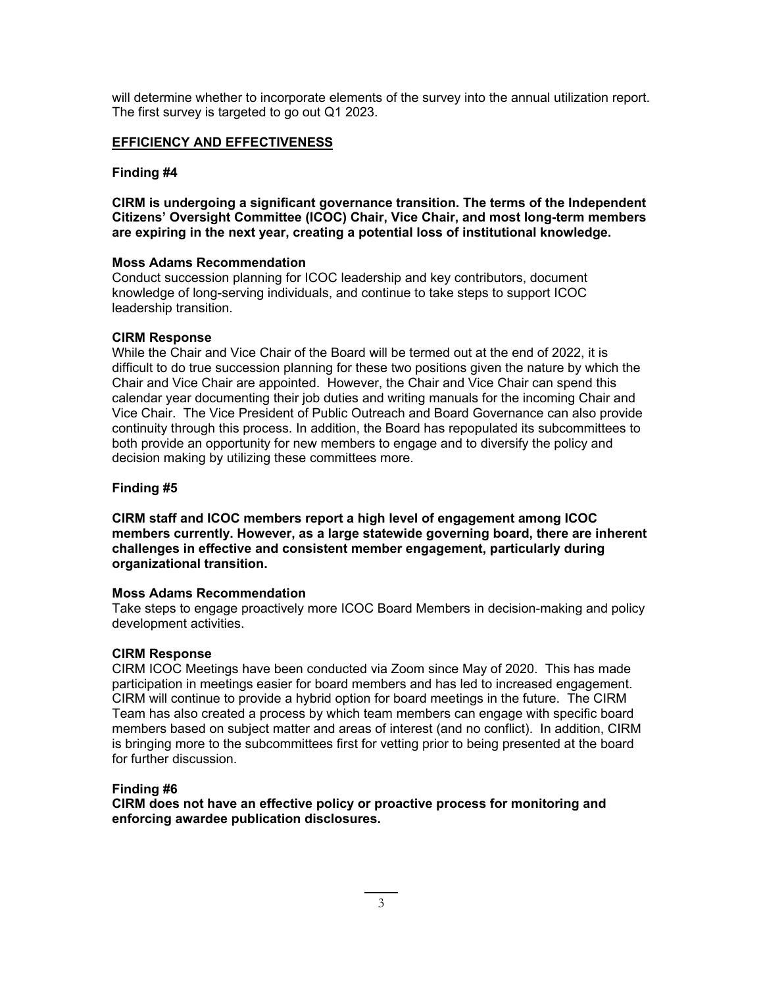will determine whether to incorporate elements of the survey into the annual utilization report. The first survey is targeted to go out Q1 2023.

## **EFFICIENCY AND EFFECTIVENESS**

### **Finding #4**

**CIRM is undergoing a significant governance transition. The terms of the Independent Citizens' Oversight Committee (ICOC) Chair, Vice Chair, and most long-term members are expiring in the next year, creating a potential loss of institutional knowledge.**

#### **Moss Adams Recommendation**

Conduct succession planning for ICOC leadership and key contributors, document knowledge of long-serving individuals, and continue to take steps to support ICOC leadership transition.

### **CIRM Response**

While the Chair and Vice Chair of the Board will be termed out at the end of 2022, it is difficult to do true succession planning for these two positions given the nature by which the Chair and Vice Chair are appointed. However, the Chair and Vice Chair can spend this calendar year documenting their job duties and writing manuals for the incoming Chair and Vice Chair. The Vice President of Public Outreach and Board Governance can also provide continuity through this process. In addition, the Board has repopulated its subcommittees to both provide an opportunity for new members to engage and to diversify the policy and decision making by utilizing these committees more.

## **Finding #5**

**CIRM staff and ICOC members report a high level of engagement among ICOC members currently. However, as a large statewide governing board, there are inherent challenges in effective and consistent member engagement, particularly during organizational transition.**

#### **Moss Adams Recommendation**

Take steps to engage proactively more ICOC Board Members in decision-making and policy development activities.

#### **CIRM Response**

CIRM ICOC Meetings have been conducted via Zoom since May of 2020. This has made participation in meetings easier for board members and has led to increased engagement. CIRM will continue to provide a hybrid option for board meetings in the future. The CIRM Team has also created a process by which team members can engage with specific board members based on subject matter and areas of interest (and no conflict). In addition, CIRM is bringing more to the subcommittees first for vetting prior to being presented at the board for further discussion.

#### **Finding #6**

**CIRM does not have an effective policy or proactive process for monitoring and enforcing awardee publication disclosures.**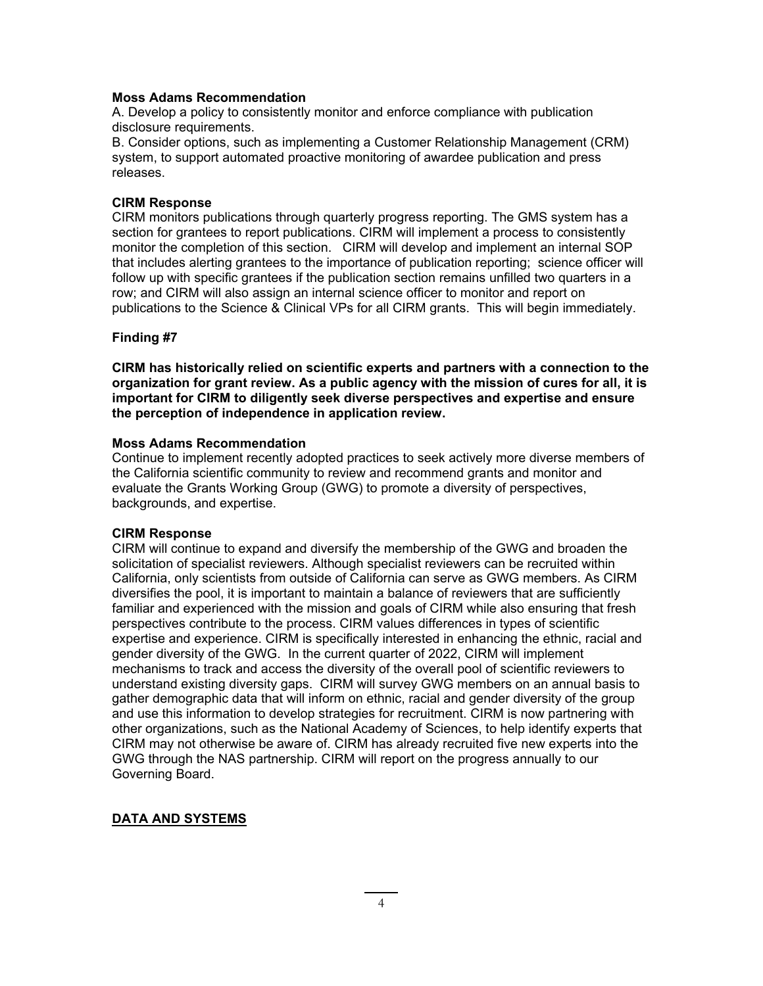### **Moss Adams Recommendation**

A. Develop a policy to consistently monitor and enforce compliance with publication disclosure requirements.

B. Consider options, such as implementing a Customer Relationship Management (CRM) system, to support automated proactive monitoring of awardee publication and press releases.

### **CIRM Response**

CIRM monitors publications through quarterly progress reporting. The GMS system has a section for grantees to report publications. CIRM will implement a process to consistently monitor the completion of this section. CIRM will develop and implement an internal SOP that includes alerting grantees to the importance of publication reporting; science officer will follow up with specific grantees if the publication section remains unfilled two quarters in a row; and CIRM will also assign an internal science officer to monitor and report on publications to the Science & Clinical VPs for all CIRM grants. This will begin immediately.

## **Finding #7**

**CIRM has historically relied on scientific experts and partners with a connection to the organization for grant review. As a public agency with the mission of cures for all, it is important for CIRM to diligently seek diverse perspectives and expertise and ensure the perception of independence in application review.**

### **Moss Adams Recommendation**

Continue to implement recently adopted practices to seek actively more diverse members of the California scientific community to review and recommend grants and monitor and evaluate the Grants Working Group (GWG) to promote a diversity of perspectives, backgrounds, and expertise.

## **CIRM Response**

CIRM will continue to expand and diversify the membership of the GWG and broaden the solicitation of specialist reviewers. Although specialist reviewers can be recruited within California, only scientists from outside of California can serve as GWG members. As CIRM diversifies the pool, it is important to maintain a balance of reviewers that are sufficiently familiar and experienced with the mission and goals of CIRM while also ensuring that fresh perspectives contribute to the process. CIRM values differences in types of scientific expertise and experience. CIRM is specifically interested in enhancing the ethnic, racial and gender diversity of the GWG. In the current quarter of 2022, CIRM will implement mechanisms to track and access the diversity of the overall pool of scientific reviewers to understand existing diversity gaps. CIRM will survey GWG members on an annual basis to gather demographic data that will inform on ethnic, racial and gender diversity of the group and use this information to develop strategies for recruitment. CIRM is now partnering with other organizations, such as the National Academy of Sciences, to help identify experts that CIRM may not otherwise be aware of. CIRM has already recruited five new experts into the GWG through the NAS partnership. CIRM will report on the progress annually to our Governing Board.

## **DATA AND SYSTEMS**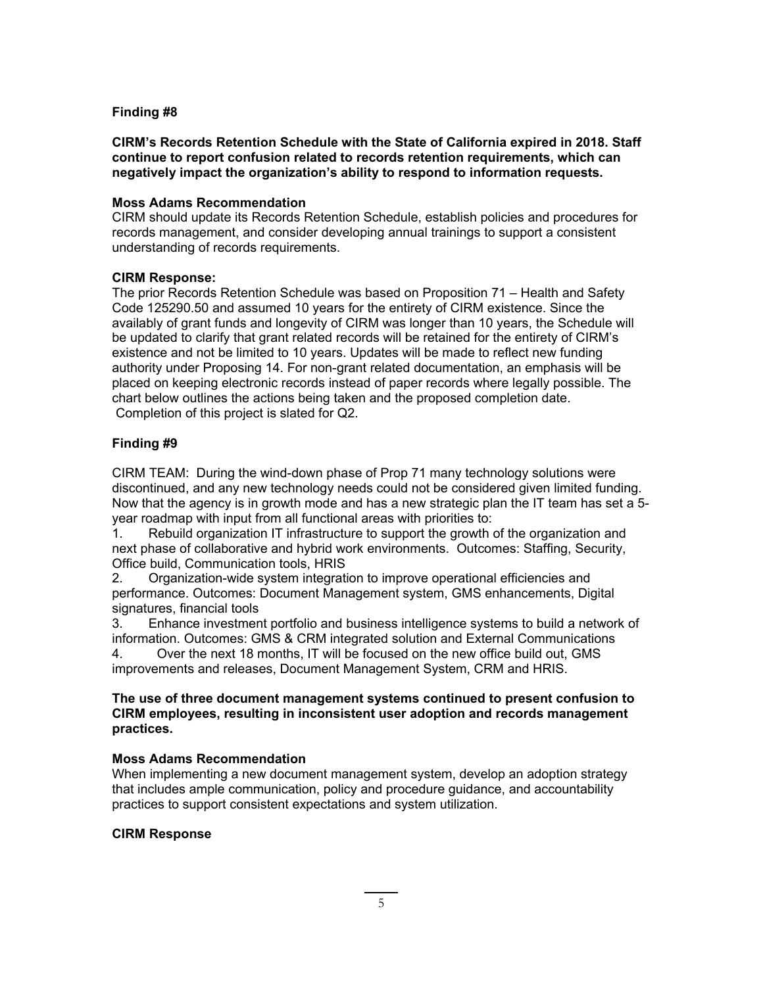## **Finding #8**

**CIRM's Records Retention Schedule with the State of California expired in 2018. Staff continue to report confusion related to records retention requirements, which can negatively impact the organization's ability to respond to information requests.**

### **Moss Adams Recommendation**

CIRM should update its Records Retention Schedule, establish policies and procedures for records management, and consider developing annual trainings to support a consistent understanding of records requirements.

### **CIRM Response:**

The prior Records Retention Schedule was based on Proposition 71 – Health and Safety Code 125290.50 and assumed 10 years for the entirety of CIRM existence. Since the availably of grant funds and longevity of CIRM was longer than 10 years, the Schedule will be updated to clarify that grant related records will be retained for the entirety of CIRM's existence and not be limited to 10 years. Updates will be made to reflect new funding authority under Proposing 14. For non-grant related documentation, an emphasis will be placed on keeping electronic records instead of paper records where legally possible. The chart below outlines the actions being taken and the proposed completion date. Completion of this project is slated for Q2.

## **Finding #9**

CIRM TEAM: During the wind-down phase of Prop 71 many technology solutions were discontinued, and any new technology needs could not be considered given limited funding. Now that the agency is in growth mode and has a new strategic plan the IT team has set a 5 year roadmap with input from all functional areas with priorities to:

1. Rebuild organization IT infrastructure to support the growth of the organization and next phase of collaborative and hybrid work environments. Outcomes: Staffing, Security, Office build, Communication tools, HRIS

2. Organization-wide system integration to improve operational efficiencies and performance. Outcomes: Document Management system, GMS enhancements, Digital signatures, financial tools

3. Enhance investment portfolio and business intelligence systems to build a network of information. Outcomes: GMS & CRM integrated solution and External Communications 4. Over the next 18 months, IT will be focused on the new office build out, GMS improvements and releases, Document Management System, CRM and HRIS.

## **The use of three document management systems continued to present confusion to CIRM employees, resulting in inconsistent user adoption and records management practices.**

## **Moss Adams Recommendation**

When implementing a new document management system, develop an adoption strategy that includes ample communication, policy and procedure guidance, and accountability practices to support consistent expectations and system utilization.

#### **CIRM Response**